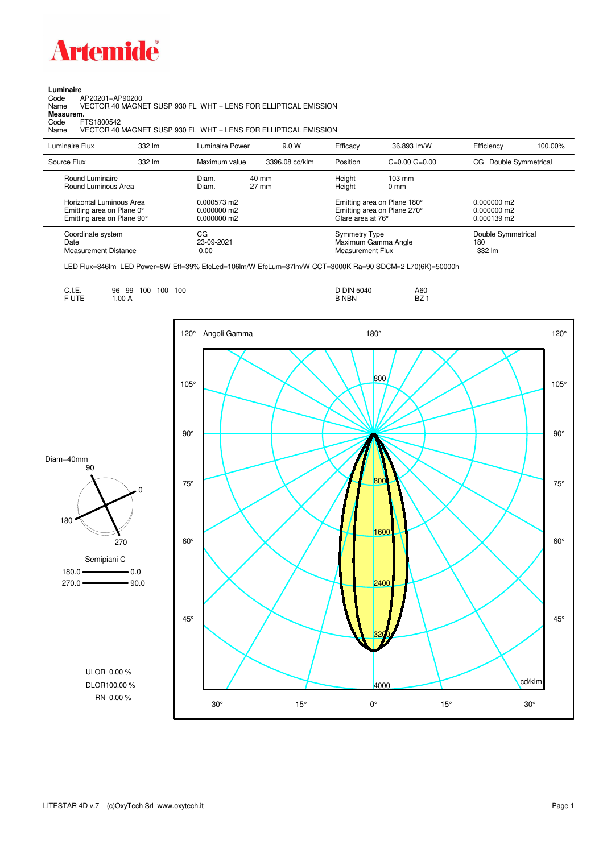

## **Luminaire**<br>Code /<br>Name

Code AP20201+AP90200 Name VECTOR 40 MAGNET SUSP 930 FL WHT + LENS FOR ELLIPTICAL EMISSION **Measurem.**

Code FTS1800542<br>Name VECTOR 40 VECTOR 40 MAGNET SUSP 930 FL WHT + LENS FOR ELLIPTICAL EMISSION

| Luminaire Flux                                                     | 332 lm | Luminaire Power                | 9.0 W                    | Efficacy                          | 36.893 lm/W                                                       | Efficiency                          | 100.00% |
|--------------------------------------------------------------------|--------|--------------------------------|--------------------------|-----------------------------------|-------------------------------------------------------------------|-------------------------------------|---------|
| Source Flux                                                        | 332 lm | Maximum value                  | 3396.08 cd/klm           | Position                          | $C=0.00$ $G=0.00$                                                 | CG Double Symmetrical               |         |
| Round Luminaire<br>Round Luminous Area<br>Horizontal Luminous Area |        | Diam.<br>Diam.<br>0.000573 m2  | 40 mm<br>$27 \text{ mm}$ | Height<br>Height                  | $103 \text{ mm}$<br>$0 \text{ mm}$<br>Emitting area on Plane 180° | $0.000000$ m2                       |         |
| Emitting area on Plane 0°<br>Emitting area on Plane 90°            |        | $0.000000$ m2<br>$0.000000$ m2 |                          | Glare area at 76°                 | Emitting area on Plane 270°                                       | $0.000000$ m2<br>$0.000139$ m2      |         |
| Coordinate system<br>Date<br>Measurement Distance                  |        | CG<br>23-09-2021<br>0.00       |                          | Symmetry Type<br>Measurement Flux | Maximum Gamma Angle                                               | Double Symmetrical<br>180<br>332 lm |         |

LED Flux=846lm LED Power=8W Eff=39% EfcLed=106lm/W EfcLum=37lm/W CCT=3000K Ra=90 SDCM=2 L70(6K)=50000h

|  | --<br>◡…<br>F UTE | 100<br>100<br>96<br>100<br>99<br>. .<br>.00A | 5040<br><b>DIN</b><br>.<br><b>B NBN</b> | A60<br><b>BZ</b> |
|--|-------------------|----------------------------------------------|-----------------------------------------|------------------|
|--|-------------------|----------------------------------------------|-----------------------------------------|------------------|